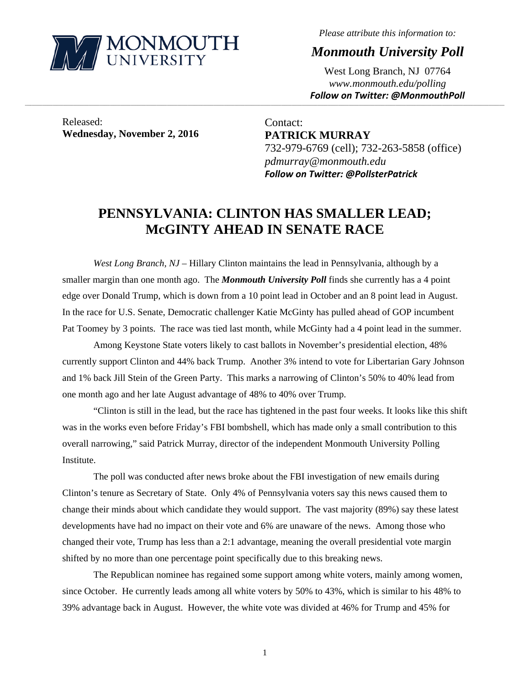

*Please attribute this information to:* 

*Monmouth University Poll* 

West Long Branch, NJ 07764 *www.monmouth.edu/polling Follow on Twitter: @MonmouthPoll*

Released: **Wednesday, November 2, 2016** 

Contact: **PATRICK MURRAY**  732-979-6769 (cell); 732-263-5858 (office) *pdmurray@monmouth.edu Follow on Twitter: @PollsterPatrick*

# **PENNSYLVANIA: CLINTON HAS SMALLER LEAD; McGINTY AHEAD IN SENATE RACE**

,一个人的人都是不是,我们的人都是不是,我们的人都是不是,我们的人都是不是,我们的人都是不是,我们的人都是不是,我们的人都是不是,我们的人都是不是,我们的人都是不

*West Long Branch, NJ* – Hillary Clinton maintains the lead in Pennsylvania, although by a smaller margin than one month ago. The *Monmouth University Poll* finds she currently has a 4 point edge over Donald Trump, which is down from a 10 point lead in October and an 8 point lead in August. In the race for U.S. Senate, Democratic challenger Katie McGinty has pulled ahead of GOP incumbent Pat Toomey by 3 points. The race was tied last month, while McGinty had a 4 point lead in the summer.

 Among Keystone State voters likely to cast ballots in November's presidential election, 48% currently support Clinton and 44% back Trump. Another 3% intend to vote for Libertarian Gary Johnson and 1% back Jill Stein of the Green Party. This marks a narrowing of Clinton's 50% to 40% lead from one month ago and her late August advantage of 48% to 40% over Trump.

 "Clinton is still in the lead, but the race has tightened in the past four weeks. It looks like this shift was in the works even before Friday's FBI bombshell, which has made only a small contribution to this overall narrowing," said Patrick Murray, director of the independent Monmouth University Polling Institute.

The poll was conducted after news broke about the FBI investigation of new emails during Clinton's tenure as Secretary of State. Only 4% of Pennsylvania voters say this news caused them to change their minds about which candidate they would support. The vast majority (89%) say these latest developments have had no impact on their vote and 6% are unaware of the news. Among those who changed their vote, Trump has less than a 2:1 advantage, meaning the overall presidential vote margin shifted by no more than one percentage point specifically due to this breaking news.

 The Republican nominee has regained some support among white voters, mainly among women, since October. He currently leads among all white voters by 50% to 43%, which is similar to his 48% to 39% advantage back in August. However, the white vote was divided at 46% for Trump and 45% for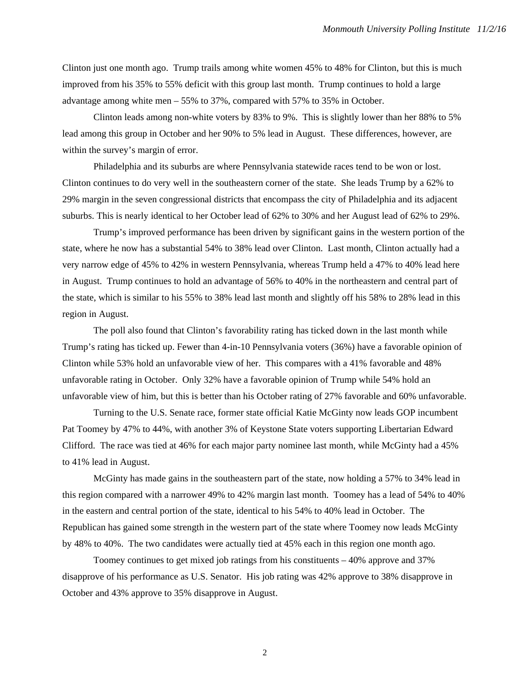Clinton just one month ago. Trump trails among white women 45% to 48% for Clinton, but this is much improved from his 35% to 55% deficit with this group last month. Trump continues to hold a large advantage among white men – 55% to 37%, compared with 57% to 35% in October.

Clinton leads among non-white voters by 83% to 9%. This is slightly lower than her 88% to 5% lead among this group in October and her 90% to 5% lead in August. These differences, however, are within the survey's margin of error.

 Philadelphia and its suburbs are where Pennsylvania statewide races tend to be won or lost. Clinton continues to do very well in the southeastern corner of the state. She leads Trump by a 62% to 29% margin in the seven congressional districts that encompass the city of Philadelphia and its adjacent suburbs. This is nearly identical to her October lead of 62% to 30% and her August lead of 62% to 29%.

Trump's improved performance has been driven by significant gains in the western portion of the state, where he now has a substantial 54% to 38% lead over Clinton. Last month, Clinton actually had a very narrow edge of 45% to 42% in western Pennsylvania, whereas Trump held a 47% to 40% lead here in August. Trump continues to hold an advantage of 56% to 40% in the northeastern and central part of the state, which is similar to his 55% to 38% lead last month and slightly off his 58% to 28% lead in this region in August.

The poll also found that Clinton's favorability rating has ticked down in the last month while Trump's rating has ticked up. Fewer than 4-in-10 Pennsylvania voters (36%) have a favorable opinion of Clinton while 53% hold an unfavorable view of her. This compares with a 41% favorable and 48% unfavorable rating in October. Only 32% have a favorable opinion of Trump while 54% hold an unfavorable view of him, but this is better than his October rating of 27% favorable and 60% unfavorable.

Turning to the U.S. Senate race, former state official Katie McGinty now leads GOP incumbent Pat Toomey by 47% to 44%, with another 3% of Keystone State voters supporting Libertarian Edward Clifford. The race was tied at 46% for each major party nominee last month, while McGinty had a 45% to 41% lead in August.

McGinty has made gains in the southeastern part of the state, now holding a 57% to 34% lead in this region compared with a narrower 49% to 42% margin last month. Toomey has a lead of 54% to 40% in the eastern and central portion of the state, identical to his 54% to 40% lead in October. The Republican has gained some strength in the western part of the state where Toomey now leads McGinty by 48% to 40%. The two candidates were actually tied at 45% each in this region one month ago.

Toomey continues to get mixed job ratings from his constituents – 40% approve and 37% disapprove of his performance as U.S. Senator. His job rating was 42% approve to 38% disapprove in October and 43% approve to 35% disapprove in August.

2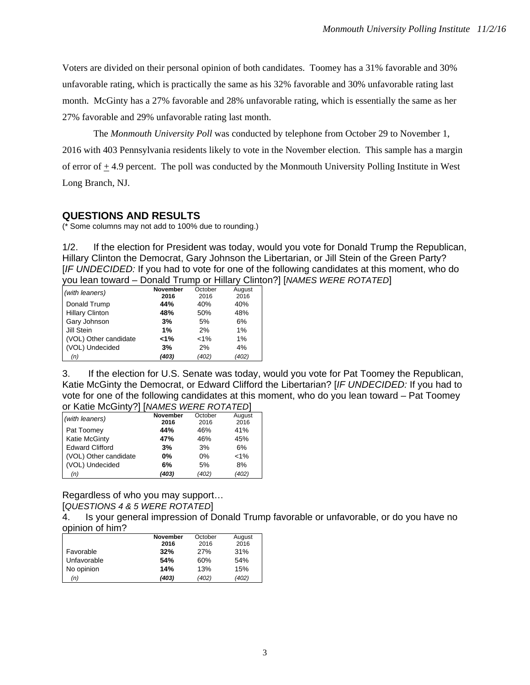Voters are divided on their personal opinion of both candidates. Toomey has a 31% favorable and 30% unfavorable rating, which is practically the same as his 32% favorable and 30% unfavorable rating last month. McGinty has a 27% favorable and 28% unfavorable rating, which is essentially the same as her 27% favorable and 29% unfavorable rating last month.

The *Monmouth University Poll* was conducted by telephone from October 29 to November 1, 2016 with 403 Pennsylvania residents likely to vote in the November election. This sample has a margin of error of + 4.9 percent. The poll was conducted by the Monmouth University Polling Institute in West Long Branch, NJ.

### **QUESTIONS AND RESULTS**

(\* Some columns may not add to 100% due to rounding.)

1/2. If the election for President was today, would you vote for Donald Trump the Republican, Hillary Clinton the Democrat, Gary Johnson the Libertarian, or Jill Stein of the Green Party? [*IF UNDECIDED:* If you had to vote for one of the following candidates at this moment, who do you lean toward – Donald Trump or Hillary Clinton?] [*NAMES WERE ROTATED*]

| (with leaners)         | <b>November</b> | October | August |
|------------------------|-----------------|---------|--------|
|                        | 2016            | 2016    | 2016   |
| Donald Trump           | 44%             | 40%     | 40%    |
| <b>Hillary Clinton</b> | 48%             | 50%     | 48%    |
| Gary Johnson           | 3%              | 5%      | 6%     |
| Jill Stein             | 1%              | 2%      | $1\%$  |
| (VOL) Other candidate  | 1%              | $< 1\%$ | $1\%$  |
| (VOL) Undecided        | 3%              | 2%      | 4%     |
| (n)                    | (403)           | (402)   | (402)  |

3. If the election for U.S. Senate was today, would you vote for Pat Toomey the Republican, Katie McGinty the Democrat, or Edward Clifford the Libertarian? [*IF UNDECIDED:* If you had to vote for one of the following candidates at this moment, who do you lean toward – Pat Toomey or Katie McGinty?] [*NAMES WERE ROTATED*]

| (with leaners)         | <b>November</b> | October | August  |
|------------------------|-----------------|---------|---------|
|                        | 2016            | 2016    | 2016    |
| Pat Toomey             | 44%             | 46%     | 41%     |
| <b>Katie McGinty</b>   | 47%             | 46%     | 45%     |
| <b>Edward Clifford</b> | 3%              | 3%      | 6%      |
| (VOL) Other candidate  | $0\%$           | 0%      | $< 1\%$ |
| (VOL) Undecided        | 6%              | 5%      | 8%      |
| (n)                    | (403)           | (402)   | (402)   |

Regardless of who you may support…

[*QUESTIONS 4 & 5 WERE ROTATED*]

4. Is your general impression of Donald Trump favorable or unfavorable, or do you have no opinion of him?

|             | <b>November</b> | October | August |
|-------------|-----------------|---------|--------|
|             | 2016            | 2016    | 2016   |
| Favorable   | 32%             | 27%     | 31%    |
| Unfavorable | 54%             | 60%     | 54%    |
| No opinion  | 14%             | 13%     | 15%    |
| (n)         | (403)           | (402)   | (402)  |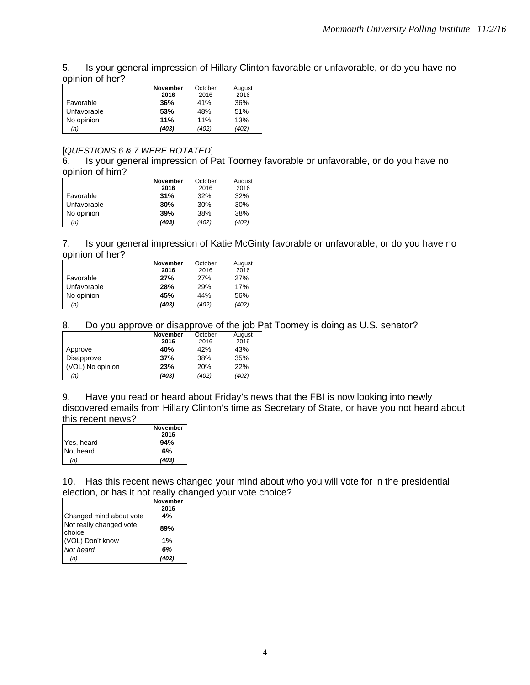| 5. Is your general impression of Hillary Clinton favorable or unfavorable, or do you have no |
|----------------------------------------------------------------------------------------------|
| opinion of her?                                                                              |

|             | <b>November</b> | October | August |
|-------------|-----------------|---------|--------|
|             | 2016            | 2016    | 2016   |
| Favorable   | 36%             | 41%     | 36%    |
| Unfavorable | 53%             | 48%     | 51%    |
| No opinion  | 11%             | 11%     | 13%    |
| (n)         | (403)           | (402)   | (402)  |

#### [*QUESTIONS 6 & 7 WERE ROTATED*]

6. Is your general impression of Pat Toomey favorable or unfavorable, or do you have no opinion of him?

|             | <b>November</b><br>2016 | October<br>2016 | August<br>2016 |
|-------------|-------------------------|-----------------|----------------|
| Favorable   | 31%                     | 32%             | 32%            |
| Unfavorable | 30%                     | 30%             | 30%            |
| No opinion  | 39%                     | 38%             | 38%            |
| (n)         | (403)                   | (402)           | (402)          |

7. Is your general impression of Katie McGinty favorable or unfavorable, or do you have no opinion of her?

|             | <b>November</b> | October | August |
|-------------|-----------------|---------|--------|
|             | 2016            | 2016    | 2016   |
| Favorable   | 27%             | 27%     | 27%    |
| Unfavorable | 28%             | 29%     | 17%    |
| No opinion  | 45%             | 44%     | 56%    |
| (n)         | (403)           | (402)   | (402)  |

## 8. Do you approve or disapprove of the job Pat Toomey is doing as U.S. senator?

|                  | <b>November</b> | October    | August |
|------------------|-----------------|------------|--------|
|                  | 2016            | 2016       | 2016   |
| Approve          | 40%             | 42%        | 43%    |
| Disapprove       | 37%             | 38%        | 35%    |
| (VOL) No opinion | 23%             | <b>20%</b> | 22%    |
| (n)              | (403)           | (402)      | (402)  |

9. Have you read or heard about Friday's news that the FBI is now looking into newly discovered emails from Hillary Clinton's time as Secretary of State, or have you not heard about this recent news?

|            | <b>November</b> |
|------------|-----------------|
|            | 2016            |
| Yes, heard | 94%             |
| Not heard  | 6%              |
| (n)        | (403)           |

10. Has this recent news changed your mind about who you will vote for in the presidential election, or has it not really changed your vote choice?

|                                   | <b>November</b><br>2016 |
|-----------------------------------|-------------------------|
| Changed mind about vote           | 4%                      |
| Not really changed vote<br>choice | 89%                     |
| (VOL) Don't know                  | 1%                      |
| Not heard                         | 6%                      |
| (n)                               | (403)                   |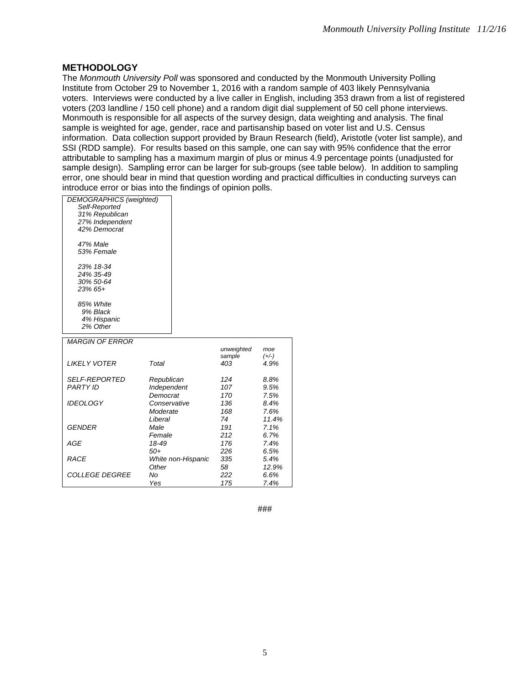#### **METHODOLOGY**

The *Monmouth University Poll* was sponsored and conducted by the Monmouth University Polling Institute from October 29 to November 1, 2016 with a random sample of 403 likely Pennsylvania voters. Interviews were conducted by a live caller in English, including 353 drawn from a list of registered voters (203 landline / 150 cell phone) and a random digit dial supplement of 50 cell phone interviews. Monmouth is responsible for all aspects of the survey design, data weighting and analysis. The final sample is weighted for age, gender, race and partisanship based on voter list and U.S. Census information. Data collection support provided by Braun Research (field), Aristotle (voter list sample), and SSI (RDD sample). For results based on this sample, one can say with 95% confidence that the error attributable to sampling has a maximum margin of plus or minus 4.9 percentage points (unadjusted for sample design). Sampling error can be larger for sub-groups (see table below). In addition to sampling error, one should bear in mind that question wording and practical difficulties in conducting surveys can introduce error or bias into the findings of opinion polls.

| <b>DEMOGRAPHICS</b> (weighted)<br>Self-Reported |                         |            |         |
|-------------------------------------------------|-------------------------|------------|---------|
| 31% Republican                                  |                         |            |         |
| 27% Independent                                 |                         |            |         |
| 42% Democrat                                    |                         |            |         |
|                                                 |                         |            |         |
| 47% Male                                        |                         |            |         |
| 53% Female                                      |                         |            |         |
|                                                 |                         |            |         |
| 23% 18-34                                       |                         |            |         |
| 24% 35-49                                       |                         |            |         |
| 30% 50-64                                       |                         |            |         |
| $23\%$ 65+                                      |                         |            |         |
| 85% White                                       |                         |            |         |
| 9% Black                                        |                         |            |         |
| 4% Hispanic                                     |                         |            |         |
| 2% Other                                        |                         |            |         |
|                                                 |                         |            |         |
| <b>MARGIN OF ERROR</b>                          |                         |            |         |
|                                                 |                         | unweighted | moe     |
|                                                 |                         | sample     | $(+/-)$ |
| <b>LIKELY VOTER</b>                             | Total                   | 403        | 4.9%    |
| <b>SELF-REPORTED</b>                            |                         | 124        | 8.8%    |
| <b>PARTY ID</b>                                 | Republican              | 107        | 9.5%    |
|                                                 | Independent<br>Democrat | 170        | 7.5%    |
| <b>IDEOLOGY</b>                                 | Conservative            | 136        | 8.4%    |
|                                                 | Moderate                | 168        | 7.6%    |
|                                                 | Liberal                 | 74         | 11.4%   |
| GENDER                                          | Male                    | 191        | 7.1%    |
|                                                 | Female                  | 212        | 6.7%    |
| AGE                                             | 18-49                   | 176        | 7.4%    |
|                                                 | $50+$                   | 226        | 6.5%    |
| <b>RACE</b>                                     | White non-Hispanic      | 335        | 5.4%    |
|                                                 | Other                   | 58         | 12.9%   |
| <b>COLLEGE DEGREE</b>                           | No                      | 222        | 6.6%    |
|                                                 | Yes                     | 175        | 7.4%    |
|                                                 |                         |            |         |

###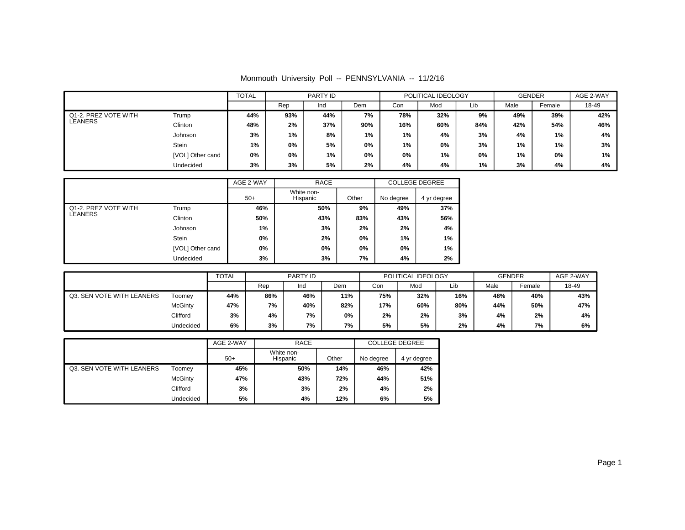| Monmouth University Poll -- PENNSYLVANIA -- 11/2/16 |  |  |  |  |
|-----------------------------------------------------|--|--|--|--|
|-----------------------------------------------------|--|--|--|--|

|                      |                  | <b>TOTAL</b> | PARTY ID |     |       | POLITICAL IDEOLOGY |       |     | <b>GENDER</b> |        | AGE 2-WAY |
|----------------------|------------------|--------------|----------|-----|-------|--------------------|-------|-----|---------------|--------|-----------|
|                      |                  |              | Rep      | Ind | Dem   | Con                | Mod   | Lib | Male          | Female | 18-49     |
| Q1-2. PREZ VOTE WITH | Trump            | 44%          | 93%      | 44% | 7%    | 78%                | 32%   | 9%  | 49%           | 39%    | 42%       |
| LEANERS              | Clinton          | 48%          | 2%       | 37% | 90%   | 16%                | 60%   | 84% | 42%           | 54%    | 46%       |
|                      | Johnson          | 3%           | $1\%$    | 8%  | $1\%$ | $1\%$              | 4%    | 3%  | 4%            | 1%     | 4%        |
|                      | Stein            | 1%           | 0%       | 5%  | 0%    | 1%                 | 0%    | 3%  | 1%            | 1%     | 3%        |
|                      | [VOL] Other cand | 0%           | 0%       | 1%  | 0%    | 0%                 | $1\%$ | 0%  | 1%            | 0%     | 1%        |
|                      | Undecided        | 3%           | 3%       | 5%  | 2%    | 4%                 | 4%    | 1%  | 3%            | 4%     | 4%        |

|                      |                  | AGE 2-WAY | <b>RACE</b>            |       |           | <b>COLLEGE DEGREE</b> |
|----------------------|------------------|-----------|------------------------|-------|-----------|-----------------------|
|                      |                  | $50+$     | White non-<br>Hispanic | Other | No degree | 4 yr degree           |
| Q1-2. PREZ VOTE WITH | Trump            | 46%       | 50%                    | 9%    | 49%       | 37%                   |
| LEANERS              | Clinton          | 50%       | 43%                    | 83%   | 43%       | 56%                   |
|                      | Johnson          | 1%        | 3%                     | 2%    | 2%        | 4%                    |
|                      | <b>Stein</b>     | 0%        | 2%                     | $0\%$ | $1\%$     | 1%                    |
|                      | [VOL] Other cand | 0%        | 0%                     | $0\%$ | 0%        | 1%                    |
|                      | Undecided        | 3%        | 3%                     | 7%    | 4%        | 2%                    |

|                           |           | <b>TOTAL</b> |     | PARTY ID |     | POLITICAL IDEOLOGY |     |     | <b>GENDER</b> |        | AGE 2-WAY |
|---------------------------|-----------|--------------|-----|----------|-----|--------------------|-----|-----|---------------|--------|-----------|
|                           |           |              | Rep | Ind      | Dem | Con                | Mod | Lib | Male          | Female | 18-49     |
| Q3. SEN VOTE WITH LEANERS | Toomev    | 44%          | 86% | 46%      | 11% | 75%                | 32% | 16% | 48%           | 40%    | 43%       |
|                           | McGinty   | 47%          | 7%  | 40%      | 82% | 17%                | 60% | 80% | 44%           | 50%    | 47%       |
|                           | Clifford  | 3%           | 4%  | 7%       | 0%  | 2%                 | 2%  | 3%  | 4%            | 2%     | 4%        |
|                           | Undecided | 6%           | 3%  | 7%       | 7%  | 5%                 | 5%  | 2%  | 4%            | 7%     | 6%        |

|                           |           | AGE 2-WAY | <b>RACE</b>            |       |           | <b>COLLEGE DEGREE</b> |
|---------------------------|-----------|-----------|------------------------|-------|-----------|-----------------------|
|                           |           | $50+$     | White non-<br>Hispanic | Other | No degree | 4 yr degree           |
| Q3. SEN VOTE WITH LEANERS | Toomey    | 45%       | 50%                    | 14%   | 46%       | 42%                   |
|                           | McGinty   | 47%       | 43%                    | 72%   | 44%       | 51%                   |
|                           | Clifford  | 3%        | 3%                     | 2%    | 4%        | 2%                    |
|                           | Undecided | 5%        | 4%                     | 12%   | 6%        | 5%                    |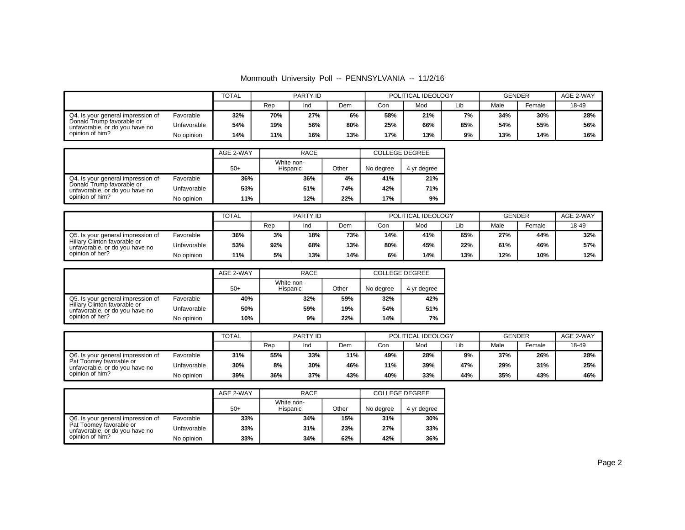#### Monmouth University Poll -- PENNSYLVANIA -- 11/2/16

|                                                             |             | TOTAL | <b>PARTY ID</b> |     | POLITICAL IDEOLOGY |     |     | <b>GENDER</b> |      | AGE 2-WAY |       |
|-------------------------------------------------------------|-------------|-------|-----------------|-----|--------------------|-----|-----|---------------|------|-----------|-------|
|                                                             |             |       | Rep             | Ind | Dem                | Con | Mod | Lib           | Male | Female    | 18-49 |
| Q4. Is your general impression of                           | Favorable   | 32%   | 70%             | 27% | 6%                 | 58% | 21% | 7%            | 34%  | 30%       | 28%   |
| Donald Trump favorable or<br>unfavorable, or do you have no | Unfavorable | 54%   | 19%             | 56% | 80%                | 25% | 66% | 85%           | 54%  | 55%       | 56%   |
| opinion of him?                                             | No opinion  | 14%   | 11%             | 16% | 13%                | 17% | 13% | 9%            | 13%  | 14%       | 16%   |

|                                                             |             | <b>RACE</b><br>AGE 2-WAY |                        |       |           | <b>COLLEGE DEGREE</b> |
|-------------------------------------------------------------|-------------|--------------------------|------------------------|-------|-----------|-----------------------|
|                                                             |             | $50+$                    | White non-<br>Hispanic | Other | No degree | 4 yr degree           |
| Q4. Is your general impression of                           | Favorable   | 36%                      | 36%                    | 4%    | 41%       | 21%                   |
| Donald Trump favorable or<br>unfavorable, or do you have no | Unfavorable | 53%                      | 51%                    | 74%   | 42%       | <b>71%</b>            |
| opinion of him?                                             | No opinion  | 11%                      | 12%                    | 22%   | 17%       | 9%                    |

|                                                                |             | <b>TOTAL</b><br>PARTY ID |     | POLITICAL IDEOLOGY |     |     | <b>GENDER</b> |     | AGE 2-WAY |        |       |
|----------------------------------------------------------------|-------------|--------------------------|-----|--------------------|-----|-----|---------------|-----|-----------|--------|-------|
|                                                                |             |                          | Rep | Ind                | Dem | Con | Mod           | Lib | Male      | Female | 18-49 |
| Q5. Is your general impression of                              | Favorable   | 36%                      | 3%  | 18%                | 73% | 14% | 41%           | 65% | 27%       | 44%    | 32%   |
| Hillary Clinton favorable or<br>unfavorable, or do you have no | Unfavorable | 53%                      | 92% | 68%                | 13% | 80% | 45%           | 22% | 61%       | 46%    | 57%   |
| opinion of her?                                                | No opinion  | 11%                      | 5%  | 13%                | 14% | 6%  | 14%           | 13% | 12%       | 10%    | 12%   |

|                                                                |             | <b>RACE</b><br>AGE 2-WAY |                        |       |           | <b>COLLEGE DEGREE</b> |
|----------------------------------------------------------------|-------------|--------------------------|------------------------|-------|-----------|-----------------------|
|                                                                |             | $50+$                    | White non-<br>Hispanic | Other | No degree | 4 yr degree           |
| Q5. Is your general impression of                              | Favorable   | 40%                      | 32%                    | 59%   | 32%       | 42%                   |
| Hillary Clinton favorable or<br>unfavorable, or do you have no | Unfavorable | 50%                      | 59%                    | 19%   | 54%       | 51%                   |
| opinion of her?                                                | No opinion  | 10%                      | 9%                     | 22%   | 14%       | 7%                    |

|                                                           |             | <b>TOTAL</b> | PARTY ID |     | POLITICAL IDEOLOGY |     |     | <b>GENDER</b> |      | AGE 2-WAY |       |
|-----------------------------------------------------------|-------------|--------------|----------|-----|--------------------|-----|-----|---------------|------|-----------|-------|
|                                                           |             |              | Rep      | Ind | Dem                | Con | Mod | Lib           | Male | Female    | 18-49 |
| Q6. Is your general impression of                         | Favorable   | 31%          | 55%      | 33% | 11%                | 49% | 28% | 9%            | 37%  | 26%       | 28%   |
| Pat Toomey favorable or<br>unfavorable, or do you have no | Unfavorable | 30%          | 8%       | 30% | 46%                | 11% | 39% | 47%           | 29%  | 31%       | 25%   |
| opinion of him?                                           | No opinion  | 39%          | 36%      | 37% | 43%                | 40% | 33% | 44%           | 35%  | 43%       | 46%   |

|                                                           |             | AGE 2-WAY<br>RACE |                        |       | <b>COLLEGE DEGREE</b> |             |
|-----------------------------------------------------------|-------------|-------------------|------------------------|-------|-----------------------|-------------|
|                                                           |             | $50+$             | White non-<br>Hispanic | Other | No dearee             | 4 yr degree |
| Q6. Is your general impression of                         | Favorable   | 33%               | 34%                    | 15%   | 31%                   | 30%         |
| Pat Toomey favorable or<br>unfavorable, or do you have no | Unfavorable | 33%               | 31%                    | 23%   | 27%                   | 33%         |
| opinion of him?                                           | No opinion  | 33%               | 34%                    | 62%   | 42%                   | 36%         |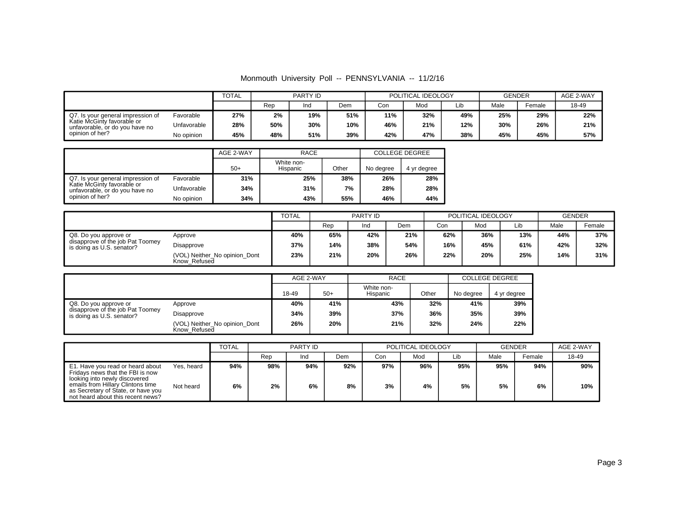#### Monmouth University Poll -- PENNSYLVANIA -- 11/2/16

|                                                              |             | <b>TOTAL</b> | PARTY ID |     | POLITICAL IDEOLOGY |     |     | <b>GENDER</b> |      | AGE 2-WAY |       |
|--------------------------------------------------------------|-------------|--------------|----------|-----|--------------------|-----|-----|---------------|------|-----------|-------|
|                                                              |             |              | Rep      | Ind | Dem                | Con | Mod | Lib           | Male | Female    | 18-49 |
| Q7. Is your general impression of                            | Favorable   | 27%          | 2%       | 19% | 51%                | 11% | 32% | 49%           | 25%  | 29%       | 22%   |
| Katie McGinty favorable or<br>unfavorable, or do you have no | Unfavorable | 28%          | 50%      | 30% | 10%                | 46% | 21% | 12%           | 30%  | 26%       | 21%   |
| opinion of her?                                              | No opinion  | 45%          | 48%      | 51% | 39%                | 42% | 47% | 38%           | 45%  | 45%       | 57%   |

|                                                              |             | <b>RACE</b><br>AGE 2-WAY |                        |       |           | <b>COLLEGE DEGREE</b> |
|--------------------------------------------------------------|-------------|--------------------------|------------------------|-------|-----------|-----------------------|
|                                                              |             | $50+$                    | White non-<br>Hispanic | Other | No degree | 4 yr degree           |
| Q7. Is your general impression of                            | Favorable   | 31%                      | 25%                    | 38%   | 26%       | 28%                   |
| Katie McGinty favorable or<br>unfavorable, or do you have no | Unfavorable | 34%                      | 31%                    | 7%    | 28%       | 28%                   |
| opinion of her?                                              | No opinion  | 34%                      | 43%                    | 55%   | 46%       | 44%                   |

|                                                                                        |                                               | <b>TOTAL</b><br>PARTY ID |     | POLITICAL IDEOLOGY |     |     | <b>GENDER</b> |     |      |        |
|----------------------------------------------------------------------------------------|-----------------------------------------------|--------------------------|-----|--------------------|-----|-----|---------------|-----|------|--------|
|                                                                                        |                                               |                          | Rep | Ind                | Dem | Con | Mod           | Lib | Male | Female |
| Q8. Do you approve or<br>disapprove of the job Pat Toomey<br>is doing as U.S. senator? | Approve                                       | 40%                      | 65% | 42%                | 21% | 62% | 36%           | 13% | 44%  | 37%    |
|                                                                                        | Disapprove                                    | 37%                      | 14% | 38%                | 54% | 16% | 45%           | 61% | 42%  | 32%    |
|                                                                                        | (VOL) Neither No opinion Dont<br>Know Refused | 23%                      | 21% | 20%                | 26% | 22% | 20%           | 25% | 14%  | 31%    |

|                                                               |                                               | AGE 2-WAY |       | <b>RACE</b>            |       | <b>COLLEGE DEGREE</b> |             |  |
|---------------------------------------------------------------|-----------------------------------------------|-----------|-------|------------------------|-------|-----------------------|-------------|--|
|                                                               |                                               | 18-49     | $50+$ | White non-<br>Hispanic | Other | No degree             | 4 yr degree |  |
| Q8. Do you approve or                                         | Approve                                       | 40%       | 41%   | 43%                    | 32%   | 41%                   | 39%         |  |
| disapprove of the job Pat Toomey<br>is doing as U.S. senator? | Disapprove                                    | 34%       | 39%   | 37%                    | 36%   | 35%                   | 39%         |  |
|                                                               | (VOL) Neither_No opinion_Dont<br>Know Refused | 26%       | 20%   | 21%                    | 32%   | 24%                   | 22%         |  |

|                                                                                                                                                                                                                                                  | TOTAL     | PARTY ID  |           |           |           | POLITICAL IDEOLOGY |           | <b>GENDER</b> | AGE 2-WAY |            |
|--------------------------------------------------------------------------------------------------------------------------------------------------------------------------------------------------------------------------------------------------|-----------|-----------|-----------|-----------|-----------|--------------------|-----------|---------------|-----------|------------|
|                                                                                                                                                                                                                                                  |           | Rep       | Ind       | Dem       | Con       | Mod                | Lib       | Male          | Female    | 18-49      |
| Yes, heard<br>E1. Have you read or heard about<br>Fridays news that the FBI is now<br>looking into newly discovered<br>emails from Hillary Clintons time<br>Not heard<br>as Secretary of State, or have you<br>not heard about this recent news? | 94%<br>6% | 98%<br>2% | 94%<br>6% | 92%<br>8% | 97%<br>3% | 96%<br>4%          | 95%<br>5% | 95%<br>5%     | 94%<br>6% | 90%<br>10% |